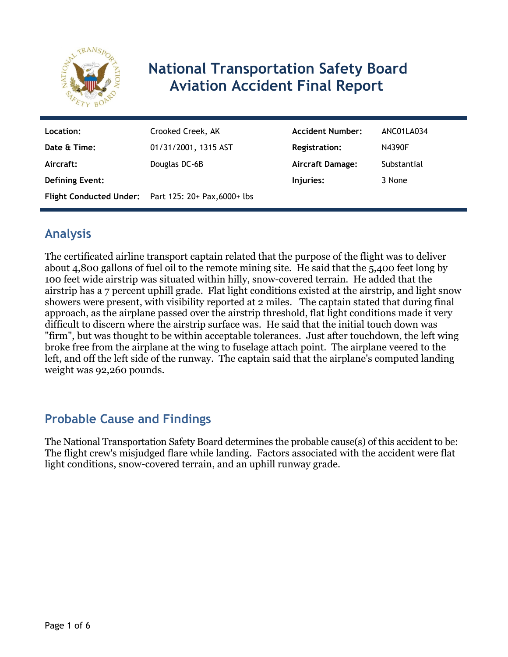

# **National Transportation Safety Board Aviation Accident Final Report**

| Location:              | Crooked Creek, AK                                    | <b>Accident Number:</b> | ANC01LA034  |
|------------------------|------------------------------------------------------|-------------------------|-------------|
| Date & Time:           | 01/31/2001, 1315 AST                                 | Registration:           | N4390F      |
| Aircraft:              | Douglas DC-6B                                        | <b>Aircraft Damage:</b> | Substantial |
| <b>Defining Event:</b> |                                                      | Injuries:               | 3 None      |
|                        | Flight Conducted Under: Part 125: 20+ Pax, 6000+ lbs |                         |             |

## **Analysis**

The certificated airline transport captain related that the purpose of the flight was to deliver about 4,800 gallons of fuel oil to the remote mining site. He said that the 5,400 feet long by 100 feet wide airstrip was situated within hilly, snow-covered terrain. He added that the airstrip has a 7 percent uphill grade. Flat light conditions existed at the airstrip, and light snow showers were present, with visibility reported at 2 miles. The captain stated that during final approach, as the airplane passed over the airstrip threshold, flat light conditions made it very difficult to discern where the airstrip surface was. He said that the initial touch down was "firm", but was thought to be within acceptable tolerances. Just after touchdown, the left wing broke free from the airplane at the wing to fuselage attach point. The airplane veered to the left, and off the left side of the runway. The captain said that the airplane's computed landing weight was 92,260 pounds.

### **Probable Cause and Findings**

The National Transportation Safety Board determines the probable cause(s) of this accident to be: The flight crew's misjudged flare while landing. Factors associated with the accident were flat light conditions, snow-covered terrain, and an uphill runway grade.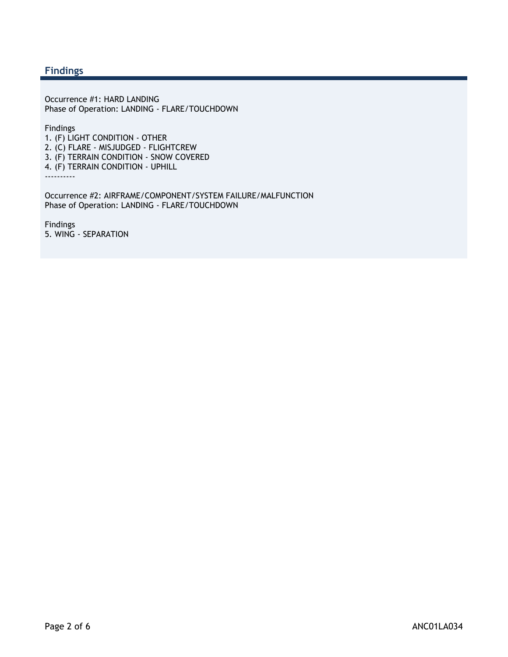#### **Findings**

Occurrence #1: HARD LANDING Phase of Operation: LANDING - FLARE/TOUCHDOWN

Findings

1. (F) LIGHT CONDITION - OTHER

2. (C) FLARE - MISJUDGED - FLIGHTCREW

3. (F) TERRAIN CONDITION - SNOW COVERED

4. (F) TERRAIN CONDITION - UPHILL

----------

Occurrence #2: AIRFRAME/COMPONENT/SYSTEM FAILURE/MALFUNCTION Phase of Operation: LANDING - FLARE/TOUCHDOWN

Findings 5. WING - SEPARATION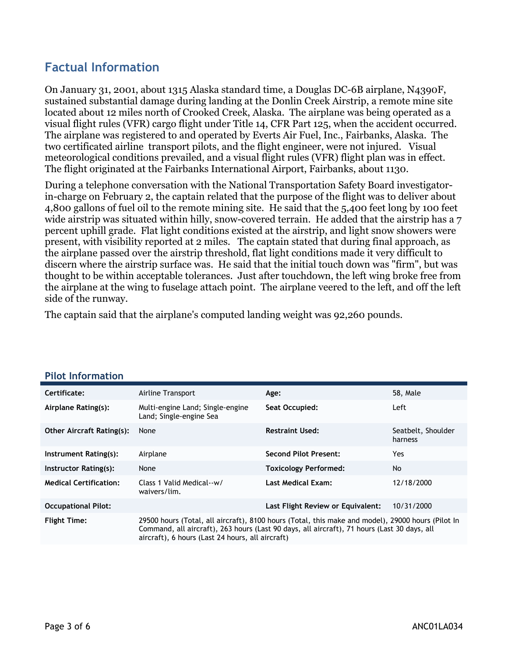### **Factual Information**

On January 31, 2001, about 1315 Alaska standard time, a Douglas DC-6B airplane, N4390F, sustained substantial damage during landing at the Donlin Creek Airstrip, a remote mine site located about 12 miles north of Crooked Creek, Alaska. The airplane was being operated as a visual flight rules (VFR) cargo flight under Title 14, CFR Part 125, when the accident occurred. The airplane was registered to and operated by Everts Air Fuel, Inc., Fairbanks, Alaska. The two certificated airline transport pilots, and the flight engineer, were not injured. Visual meteorological conditions prevailed, and a visual flight rules (VFR) flight plan was in effect. The flight originated at the Fairbanks International Airport, Fairbanks, about 1130.

During a telephone conversation with the National Transportation Safety Board investigatorin-charge on February 2, the captain related that the purpose of the flight was to deliver about 4,800 gallons of fuel oil to the remote mining site. He said that the 5,400 feet long by 100 feet wide airstrip was situated within hilly, snow-covered terrain. He added that the airstrip has a 7 percent uphill grade. Flat light conditions existed at the airstrip, and light snow showers were present, with visibility reported at 2 miles. The captain stated that during final approach, as the airplane passed over the airstrip threshold, flat light conditions made it very difficult to discern where the airstrip surface was. He said that the initial touch down was "firm", but was thought to be within acceptable tolerances. Just after touchdown, the left wing broke free from the airplane at the wing to fuselage attach point. The airplane veered to the left, and off the left side of the runway.

The captain said that the airplane's computed landing weight was 92,260 pounds.

| . v. v. av. .                    |                                                                                                                                                                                                                                                      |                                   |                               |
|----------------------------------|------------------------------------------------------------------------------------------------------------------------------------------------------------------------------------------------------------------------------------------------------|-----------------------------------|-------------------------------|
| Certificate:                     | Airline Transport                                                                                                                                                                                                                                    | Age:                              | <b>58, Male</b>               |
| Airplane Rating(s):              | Multi-engine Land; Single-engine<br>Land; Single-engine Sea                                                                                                                                                                                          | Seat Occupied:                    | Left                          |
| <b>Other Aircraft Rating(s):</b> | None                                                                                                                                                                                                                                                 | <b>Restraint Used:</b>            | Seatbelt, Shoulder<br>harness |
| Instrument Rating(s):            | Airplane                                                                                                                                                                                                                                             | <b>Second Pilot Present:</b>      | Yes.                          |
| Instructor Rating(s):            | None                                                                                                                                                                                                                                                 | <b>Toxicology Performed:</b>      | No                            |
| <b>Medical Certification:</b>    | Class 1 Valid Medical--w/<br>waivers/lim.                                                                                                                                                                                                            | Last Medical Exam:                | 12/18/2000                    |
| <b>Occupational Pilot:</b>       |                                                                                                                                                                                                                                                      | Last Flight Review or Equivalent: | 10/31/2000                    |
| <b>Flight Time:</b>              | 29500 hours (Total, all aircraft), 8100 hours (Total, this make and model), 29000 hours (Pilot In<br>Command, all aircraft), 263 hours (Last 90 days, all aircraft), 71 hours (Last 30 days, all<br>aircraft), 6 hours (Last 24 hours, all aircraft) |                                   |                               |

#### **Pilot Information**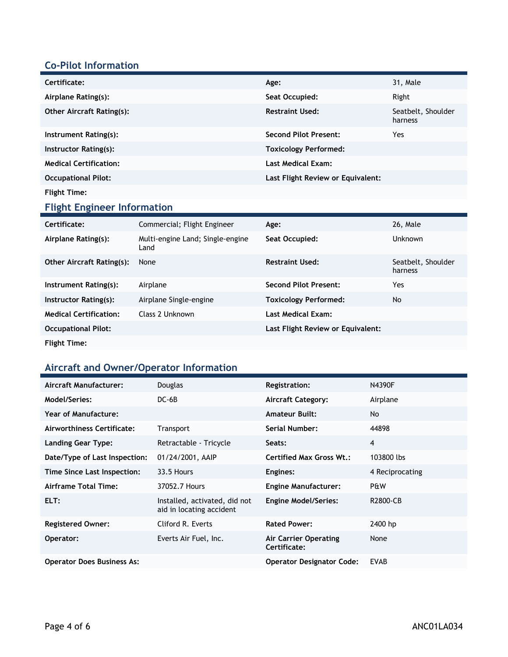#### **Co-Pilot Information**

| Certificate:                     | Age:                              | 31, Male                      |
|----------------------------------|-----------------------------------|-------------------------------|
| Airplane Rating(s):              | Seat Occupied:                    | Right                         |
| <b>Other Aircraft Rating(s):</b> | <b>Restraint Used:</b>            | Seatbelt, Shoulder<br>harness |
| Instrument Rating(s):            | <b>Second Pilot Present:</b>      | Yes                           |
| Instructor Rating(s):            | <b>Toxicology Performed:</b>      |                               |
| <b>Medical Certification:</b>    | <b>Last Medical Exam:</b>         |                               |
| <b>Occupational Pilot:</b>       | Last Flight Review or Equivalent: |                               |
| <b>Flight Time:</b>              |                                   |                               |

## **Flight Engineer Information**

| Certificate:                     | Commercial; Flight Engineer              | Age:                              | 26. Male                      |
|----------------------------------|------------------------------------------|-----------------------------------|-------------------------------|
| Airplane Rating(s):              | Multi-engine Land; Single-engine<br>Land | Seat Occupied:                    | <b>Unknown</b>                |
| <b>Other Aircraft Rating(s):</b> | None                                     | <b>Restraint Used:</b>            | Seatbelt, Shoulder<br>harness |
| Instrument Rating(s):            | Airplane                                 | <b>Second Pilot Present:</b>      | Yes                           |
| Instructor Rating(s):            | Airplane Single-engine                   | <b>Toxicology Performed:</b>      | <b>No</b>                     |
| <b>Medical Certification:</b>    | Class 2 Unknown                          | <b>Last Medical Exam:</b>         |                               |
| <b>Occupational Pilot:</b>       |                                          | Last Flight Review or Equivalent: |                               |
| <b>Flight Time:</b>              |                                          |                                   |                               |

## **Aircraft and Owner/Operator Information**

| <b>Aircraft Manufacturer:</b>     | Douglas                                                   | <b>Registration:</b>                  | N4390F          |
|-----------------------------------|-----------------------------------------------------------|---------------------------------------|-----------------|
| Model/Series:                     | $DC-6B$                                                   | <b>Aircraft Category:</b>             | Airplane        |
| <b>Year of Manufacture:</b>       |                                                           | <b>Amateur Built:</b>                 | No.             |
| Airworthiness Certificate:        | <b>Transport</b>                                          | Serial Number:                        | 44898           |
| Landing Gear Type:                | Retractable - Tricycle                                    | Seats:                                | 4               |
| Date/Type of Last Inspection:     | 01/24/2001, AAIP                                          | <b>Certified Max Gross Wt.:</b>       | 103800 lbs      |
| Time Since Last Inspection:       | 33.5 Hours                                                | Engines:                              | 4 Reciprocating |
| Airframe Total Time:              | 37052.7 Hours                                             | <b>Engine Manufacturer:</b>           | P&W             |
| ELT:                              | Installed, activated, did not<br>aid in locating accident | <b>Engine Model/Series:</b>           | R2800-CB        |
| <b>Registered Owner:</b>          | Cliford R. Everts                                         | <b>Rated Power:</b>                   | 2400 hp         |
| Operator:                         | Everts Air Fuel, Inc.                                     | Air Carrier Operating<br>Certificate: | None            |
| <b>Operator Does Business As:</b> |                                                           | <b>Operator Designator Code:</b>      | <b>EVAB</b>     |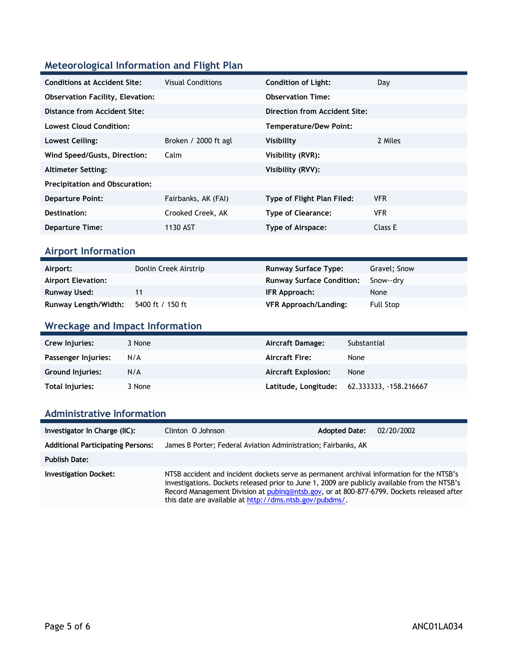### **Meteorological Information and Flight Plan**

| <b>Conditions at Accident Site:</b>     | <b>Visual Conditions</b> | <b>Condition of Light:</b>    | Day        |
|-----------------------------------------|--------------------------|-------------------------------|------------|
| <b>Observation Facility, Elevation:</b> |                          | <b>Observation Time:</b>      |            |
| Distance from Accident Site:            |                          | Direction from Accident Site: |            |
| <b>Lowest Cloud Condition:</b>          |                          | <b>Temperature/Dew Point:</b> |            |
| <b>Lowest Ceiling:</b>                  | Broken / 2000 ft agl     | Visibility                    | 2 Miles    |
| Wind Speed/Gusts, Direction:            | Calm                     | Visibility (RVR):             |            |
| <b>Altimeter Setting:</b>               |                          | Visibility (RVV):             |            |
| <b>Precipitation and Obscuration:</b>   |                          |                               |            |
| <b>Departure Point:</b>                 | Fairbanks, AK (FAI)      | Type of Flight Plan Filed:    | <b>VFR</b> |
| Destination:                            | Crooked Creek, AK        | <b>Type of Clearance:</b>     | <b>VFR</b> |
| <b>Departure Time:</b>                  | 1130 AST                 | Type of Airspace:             | Class E    |

#### **Airport Information**

| Airport:                    | Donlin Creek Airstrip | <b>Runway Surface Type:</b>      | Gravel: Snow     |
|-----------------------------|-----------------------|----------------------------------|------------------|
| <b>Airport Elevation:</b>   |                       | <b>Runway Surface Condition:</b> | Snow--dry        |
| Runway Used:                |                       | <b>IFR Approach:</b>             | None             |
| <b>Runway Length/Width:</b> | 5400 ft / 150 ft      | <b>VFR Approach/Landing:</b>     | <b>Full Stop</b> |

### **Wreckage and Impact Information**

| Crew Injuries:          | 3 None | Aircraft Damage:           | Substantial            |
|-------------------------|--------|----------------------------|------------------------|
| Passenger Injuries:     | N/A    | <b>Aircraft Fire:</b>      | None                   |
| <b>Ground Injuries:</b> | N/A    | <b>Aircraft Explosion:</b> | None                   |
| Total Injuries:         | 3 None | Latitude, Longitude;       | 62.333333, -158.216667 |

#### **Administrative Information**

| Investigator In Charge (IIC):            | Clinton O Johnson                                                                                                                                                                                                                                                                                                                                  | <b>Adopted Date:</b> | 02/20/2002 |
|------------------------------------------|----------------------------------------------------------------------------------------------------------------------------------------------------------------------------------------------------------------------------------------------------------------------------------------------------------------------------------------------------|----------------------|------------|
| <b>Additional Participating Persons:</b> | James B Porter; Federal Aviation Administration; Fairbanks, AK                                                                                                                                                                                                                                                                                     |                      |            |
| <b>Publish Date:</b>                     |                                                                                                                                                                                                                                                                                                                                                    |                      |            |
| <b>Investigation Docket:</b>             | NTSB accident and incident dockets serve as permanent archival information for the NTSB's<br>investigations. Dockets released prior to June 1, 2009 are publicly available from the NTSB's<br>Record Management Division at pubing@ntsb.gov, or at 800-877-6799. Dockets released after<br>this date are available at http://dms.ntsb.gov/pubdms/. |                      |            |